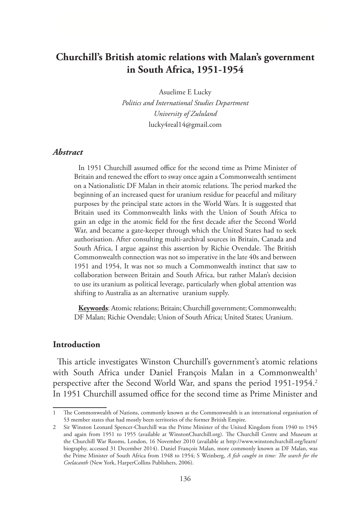# **Churchill's British atomic relations with Malan's government in South Africa, 1951-1954**

Asuelime E Lucky

*Politics and International Studies Department University of Zululand* lucky4real14@gmail.com

### *Abstract*

In 1951 Churchill assumed office for the second time as Prime Minister of Britain and renewed the effort to sway once again a Commonwealth sentiment on a Nationalistic DF Malan in their atomic relations. The period marked the beginning of an increased quest for uranium residue for peaceful and military purposes by the principal state actors in the World Wars. It is suggested that Britain used its Commonwealth links with the Union of South Africa to gain an edge in the atomic field for the first decade after the Second World War, and became a gate-keeper through which the United States had to seek authorisation. After consulting multi-archival sources in Britain, Canada and South Africa, I argue against this assertion by Richie Ovendale. The British Commonwealth connection was not so imperative in the late 40s and between 1951 and 1954, It was not so much a Commonwealth instinct that saw to collaboration between Britain and South Africa, but rather Malan's decision to use its uranium as political leverage, particularly when global attention was shifting to Australia as an alternative uranium supply.

**Keywords**: Atomic relations; Britain; Churchill government; Commonwealth; DF Malan; Richie Ovendale; Union of South Africa; United States; Uranium.

### **Introduction**

This article investigates Winston Churchill's government's atomic relations with South Africa under Daniel François Malan in a Commonwealth<sup>1</sup> perspective after the Second World War, and spans the period 1951-1954.<sup>2</sup> In 1951 Churchill assumed office for the second time as Prime Minister and

<sup>1</sup> The Commonwealth of Nations, commonly known as the Commonwealth is an international organisation of 53 member states that had mostly been territories of the former British Empire.

<sup>2</sup> Sir Winston Leonard Spencer-Churchill was the Prime Minister of the United Kingdom from 1940 to 1945 and again from 1951 to 1955 (available at WinstonChurchill.org). The Churchill Centre and Museum at the Churchill War Rooms, London, 16 November 2010 (available at http://www.winstonchurchill.org/learn/ biography, accessed 31 December 2014). Daniel François Malan, more commonly known as DF Malan, was the Prime Minister of South Africa from 1948 to 1954; S Weinberg, *A fish caught in time: The search for the Coelacanth* (New York, HarperCollins Publishers, 2006).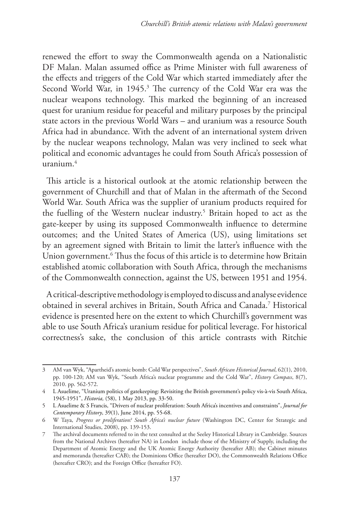renewed the effort to sway the Commonwealth agenda on a Nationalistic DF Malan. Malan assumed office as Prime Minister with full awareness of the effects and triggers of the Cold War which started immediately after the Second World War, in 1945.<sup>3</sup> The currency of the Cold War era was the nuclear weapons technology. This marked the beginning of an increased quest for uranium residue for peaceful and military purposes by the principal state actors in the previous World Wars – and uranium was a resource South Africa had in abundance. With the advent of an international system driven by the nuclear weapons technology, Malan was very inclined to seek what political and economic advantages he could from South Africa's possession of  $urapium<sup>4</sup>$ 

This article is a historical outlook at the atomic relationship between the government of Churchill and that of Malan in the aftermath of the Second World War. South Africa was the supplier of uranium products required for the fuelling of the Western nuclear industry.<sup>5</sup> Britain hoped to act as the gate-keeper by using its supposed Commonwealth influence to determine outcomes; and the United States of America (US), using limitations set by an agreement signed with Britain to limit the latter's influence with the Union government.6 Thus the focus of this article is to determine how Britain established atomic collaboration with South Africa, through the mechanisms of the Commonwealth connection, against the US, between 1951 and 1954.

A critical-descriptive methodology is employed to discuss and analyse evidence obtained in several archives in Britain, South Africa and Canada.7 Historical evidence is presented here on the extent to which Churchill's government was able to use South Africa's uranium residue for political leverage. For historical correctness's sake, the conclusion of this article contrasts with Ritchie

<sup>3</sup> AM van Wyk, "Apartheid's atomic bomb: Cold War perspectives", *South African Historical Journal*, 62(1), 2010, pp. 100-120; AM van Wyk, "South Africa's nuclear programme and the Cold War", *History Compass*, 8(7), 2010. pp. 562-572.

<sup>4</sup> L Asuelime, "Uranium politics of gatekeeping: Revisiting the British government's policy vis-à-vis South Africa, 1945-1951", *Historia,* (58), 1 May 2013, pp. 33-50.

<sup>5</sup> L Asuelime & S Francis, "Drivers of nuclear proliferation: South Africa's incentives and constraints", *Journal for Contemporary History*, 39(1), June 2014, pp. 55-68.

<sup>6</sup> W Taya, *Progress or proliferation? South Africa's nuclear future* (Washington DC, Center for Strategic and International Studies, 2008), pp. 139-153.

<sup>7</sup> The archival documents referred to in the text consulted at the Seeley Historical Library in Cambridge. Sources from the National Archives (hereafter NA) in London include those of the Ministry of Supply, including the Department of Atomic Energy and the UK Atomic Energy Authority (hereafter AB); the Cabinet minutes and memoranda (hereafter CAB); the Dominions Office (hereafter DO), the Commonwealth Relations Office (hereafter CRO); and the Foreign Office (hereafter FO).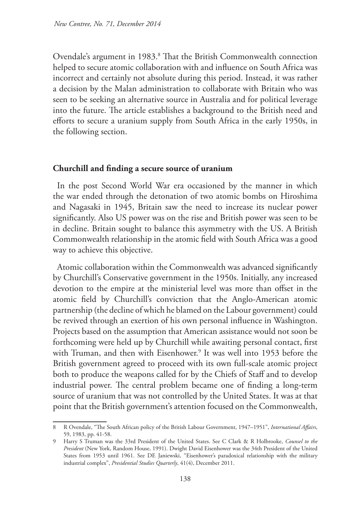Ovendale's argument in 1983.8 That the British Commonwealth connection helped to secure atomic collaboration with and influence on South Africa was incorrect and certainly not absolute during this period. Instead, it was rather a decision by the Malan administration to collaborate with Britain who was seen to be seeking an alternative source in Australia and for political leverage into the future. The article establishes a background to the British need and efforts to secure a uranium supply from South Africa in the early 1950s, in the following section.

## **Churchill and finding a secure source of uranium**

In the post Second World War era occasioned by the manner in which the war ended through the detonation of two atomic bombs on Hiroshima and Nagasaki in 1945, Britain saw the need to increase its nuclear power significantly. Also US power was on the rise and British power was seen to be in decline. Britain sought to balance this asymmetry with the US. A British Commonwealth relationship in the atomic field with South Africa was a good way to achieve this objective.

Atomic collaboration within the Commonwealth was advanced significantly by Churchill's Conservative government in the 1950s. Initially, any increased devotion to the empire at the ministerial level was more than offset in the atomic field by Churchill's conviction that the Anglo-American atomic partnership (the decline of which he blamed on the Labour government) could be revived through an exertion of his own personal influence in Washington. Projects based on the assumption that American assistance would not soon be forthcoming were held up by Churchill while awaiting personal contact, first with Truman, and then with Eisenhower.<sup>9</sup> It was well into 1953 before the British government agreed to proceed with its own full-scale atomic project both to produce the weapons called for by the Chiefs of Staff and to develop industrial power. The central problem became one of finding a long-term source of uranium that was not controlled by the United States. It was at that point that the British government's attention focused on the Commonwealth,

<sup>8</sup> R Ovendale, "The South African policy of the British Labour Government, 1947–1951", *International Affairs*, 59, 1983, pp. 41-58.

<sup>9</sup> Harry S Truman was the 33rd President of the United States. See C Clark & R Holbrooke, *Counsel to the President* (New York, Random House, 1991). Dwight David Eisenhower was the 34th President of the United States from 1953 until 1961. See DE Janiewski, "Eisenhower's paradoxical relationship with the military industrial complex", *Presidential Studies Quarterly*, 41(4), December 2011.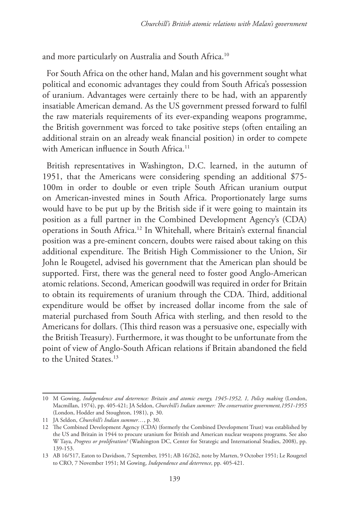and more particularly on Australia and South Africa.10

For South Africa on the other hand, Malan and his government sought what political and economic advantages they could from South Africa's possession of uranium. Advantages were certainly there to be had, with an apparently insatiable American demand. As the US government pressed forward to fulfil the raw materials requirements of its ever-expanding weapons programme, the British government was forced to take positive steps (often entailing an additional strain on an already weak financial position) in order to compete with American influence in South Africa.<sup>11</sup>

British representatives in Washington, D.C. learned, in the autumn of 1951, that the Americans were considering spending an additional \$75- 100m in order to double or even triple South African uranium output on American-invested mines in South Africa. Proportionately large sums would have to be put up by the British side if it were going to maintain its position as a full partner in the Combined Development Agency's (CDA) operations in South Africa.12 In Whitehall, where Britain's external financial position was a pre-eminent concern, doubts were raised about taking on this additional expenditure. The British High Commissioner to the Union, Sir John le Rougetel, advised his government that the American plan should be supported. First, there was the general need to foster good Anglo-American atomic relations. Second, American goodwill was required in order for Britain to obtain its requirements of uranium through the CDA. Third, additional expenditure would be offset by increased dollar income from the sale of material purchased from South Africa with sterling, and then resold to the Americans for dollars. (This third reason was a persuasive one, especially with the British Treasury). Furthermore, it was thought to be unfortunate from the point of view of Anglo-South African relations if Britain abandoned the field to the United States.<sup>13</sup>

<sup>10</sup> M Gowing, *Independence and deterrence: Britain and atomic energy, 1945-1952, 1, Policy making* (London, Macmillan, 1974), pp. 405-421; JA Seldon, *Churchill's Indian summer: The conservative government,1951-1955*  (London, Hodder and Stoughton, 1981), p. 30.

<sup>11</sup> JA Seldon, *Churchill's Indian summer…*, p. 30.

<sup>12</sup> The Combined Development Agency (CDA) (formerly the Combined Development Trust) was established by the US and Britain in 1944 to procure uranium for British and American nuclear weapons programs. See also W Taya, *Progress or proliferation?* (Washington DC, Center for Strategic and International Studies, 2008), pp. 139-153.

<sup>13</sup> AB 16/517, Eaton to Davidson, 7 September, 1951; AB 16/262, note by Marten, 9 October 1951; Le Rougetel to CRO, 7 November 1951; M Gowing, *Independence and deterrence*, pp. 405-421.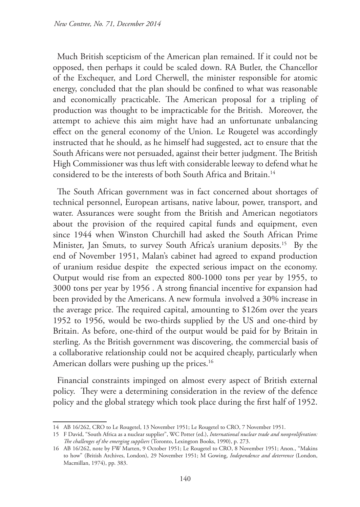Much British scepticism of the American plan remained. If it could not be opposed, then perhaps it could be scaled down. RA Butler, the Chancellor of the Exchequer, and Lord Cherwell, the minister responsible for atomic energy, concluded that the plan should be confined to what was reasonable and economically practicable. The American proposal for a tripling of production was thought to be impracticable for the British. Moreover, the attempt to achieve this aim might have had an unfortunate unbalancing effect on the general economy of the Union. Le Rougetel was accordingly instructed that he should, as he himself had suggested, act to ensure that the South Africans were not persuaded, against their better judgment. The British High Commissioner was thus left with considerable leeway to defend what he considered to be the interests of both South Africa and Britain.14

The South African government was in fact concerned about shortages of technical personnel, European artisans, native labour, power, transport, and water. Assurances were sought from the British and American negotiators about the provision of the required capital funds and equipment, even since 1944 when Winston Churchill had asked the South African Prime Minister, Jan Smuts, to survey South Africa's uranium deposits.<sup>15</sup> By the end of November 1951, Malan's cabinet had agreed to expand production of uranium residue despite the expected serious impact on the economy. Output would rise from an expected 800-1000 tons per year by 1955, to 3000 tons per year by 1956 . A strong financial incentive for expansion had been provided by the Americans. A new formula involved a 30% increase in the average price. The required capital, amounting to \$126m over the years 1952 to 1956, would be two-thirds supplied by the US and one-third by Britain. As before, one-third of the output would be paid for by Britain in sterling. As the British government was discovering, the commercial basis of a collaborative relationship could not be acquired cheaply, particularly when American dollars were pushing up the prices.<sup>16</sup>

Financial constraints impinged on almost every aspect of British external policy. They were a determining consideration in the review of the defence policy and the global strategy which took place during the first half of 1952.

<sup>14</sup> AB 16/262, CRO to Le Rougetel, 13 November 1951; Le Rougetel to CRO, 7 November 1951.

<sup>15</sup> F David, "South Africa as a nuclear supplier", WC Potter (ed.), *International nuclear trade and nonproliferation: The challenges of the emerging suppliers* (Toronto, Lexington Books, 1990), p. 273.

<sup>16</sup> AB 16/262, note by FW Marten, 9 October 1951; Le Rougetel to CRO, 8 November 1951; Anon., "Makins to how" (British Archives, London), 29 November 1951; M Gowing, *Independence and deterrence* (London, Macmillan, 1974), pp. 383.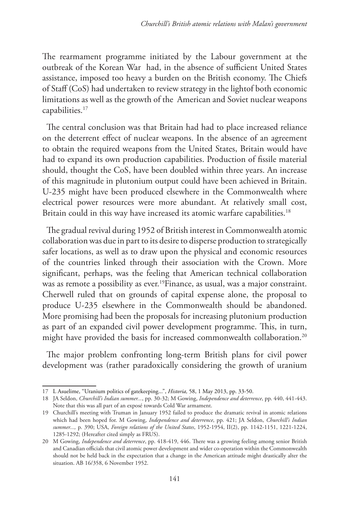The rearmament programme initiated by the Labour government at the outbreak of the Korean War had, in the absence of sufficient United States assistance, imposed too heavy a burden on the British economy. The Chiefs of Staff (CoS) had undertaken to review strategy in the lightof both economic limitations as well as the growth of the American and Soviet nuclear weapons capabilities.17

The central conclusion was that Britain had had to place increased reliance on the deterrent effect of nuclear weapons. In the absence of an agreement to obtain the required weapons from the United States, Britain would have had to expand its own production capabilities. Production of fissile material should, thought the CoS, have been doubled within three years. An increase of this magnitude in plutonium output could have been achieved in Britain. U-235 might have been produced elsewhere in the Commonwealth where electrical power resources were more abundant. At relatively small cost, Britain could in this way have increased its atomic warfare capabilities.<sup>18</sup>

The gradual revival during 1952 of British interest in Commonwealth atomic collaboration was due in part to its desire to disperse production to strategically safer locations, as well as to draw upon the physical and economic resources of the countries linked through their association with the Crown. More significant, perhaps, was the feeling that American technical collaboration was as remote a possibility as ever.<sup>19</sup>Finance, as usual, was a major constraint. Cherwell ruled that on grounds of capital expense alone, the proposal to produce U-235 elsewhere in the Commonwealth should be abandoned. More promising had been the proposals for increasing plutonium production as part of an expanded civil power development programme. This, in turn, might have provided the basis for increased commonwealth collaboration.<sup>20</sup>

The major problem confronting long-term British plans for civil power development was (rather paradoxically considering the growth of uranium

<sup>17</sup> L Asuelime, "Uranium politics of gatekeeping...", *Historia,* 58, 1 May 2013, pp. 33-50.

<sup>18</sup> JA Seldon, *Churchill's Indian summer...*, pp. 30-32; M Gowing, *Independence and deterrence*, pp. 440, 441-443. Note that this was all part of an exposé towards Cold War armament.

<sup>19</sup> Churchill's meeting with Truman in January 1952 failed to produce the dramatic revival in atomic relations which had been hoped for. M Gowing, *Independence and deterrence*, pp. 421; JA Seldon, *Churchill's Indian summer...,* p. 390; USA, *Foreign relations of the United States*, 1952-1954, II(2), pp. 1142-1151, 1221-1224, 1285-1292; (Hereafter cited simply as FRUS).

<sup>20</sup> M Gowing, *Independence and deterrence*, pp. 418-419, 446. There was a growing feeling among senior British and Canadian officials that civil atomic power development and wider co-operation within the Commonwealth should not be held back in the expectation that a change in the American attitude might drastically alter the situation. AB 16/358, 6 November 1952.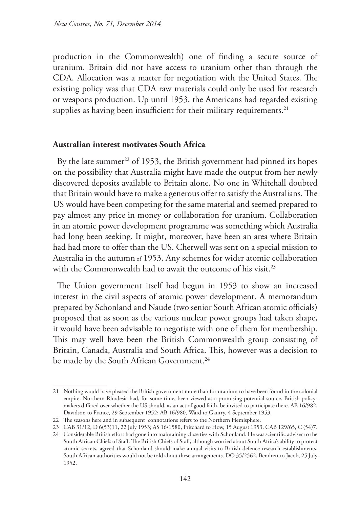production in the Commonwealth) one of finding a secure source of uranium. Britain did not have access to uranium other than through the CDA. Allocation was a matter for negotiation with the United States. The existing policy was that CDA raw materials could only be used for research or weapons production. Up until 1953, the Americans had regarded existing supplies as having been insufficient for their military requirements.<sup>21</sup>

## **Australian interest motivates South Africa**

By the late summer<sup>22</sup> of 1953, the British government had pinned its hopes on the possibility that Australia might have made the output from her newly discovered deposits available to Britain alone. No one in Whitehall doubted that Britain would have to make a generous offer to satisfy the Australians. The US would have been competing for the same material and seemed prepared to pay almost any price in money or collaboration for uranium. Collaboration in an atomic power development programme was something which Australia had long been seeking. It might, moreover, have been an area where Britain had had more to offer than the US. Cherwell was sent on a special mission to Australia in the autumn of 1953. Any schemes for wider atomic collaboration with the Commonwealth had to await the outcome of his visit.<sup>23</sup>

The Union government itself had begun in 1953 to show an increased interest in the civil aspects of atomic power development. A memorandum prepared by Schonland and Naude (two senior South African atomic officials) proposed that as soon as the various nuclear power groups had taken shape, it would have been advisable to negotiate with one of them for membership. This may well have been the British Commonwealth group consisting of Britain, Canada, Australia and South Africa. This, however was a decision to be made by the South African Government.<sup>24</sup>

<sup>21</sup> Nothing would have pleased the British government more than for uranium to have been found in the colonial empire. Northern Rhodesia had, for some time, been viewed as a promising potential source. British policymakers differed over whether the US should, as an act of good faith, be invited to participate there. AB 16/982, Davidson to France, 29 September 1952; AB 16/980, Ward to Gautry, 4 September 1953.

<sup>22</sup> The seasons here and in subsequent connotations refers to the Northern Hemisphere.

<sup>23</sup> CAB 31/12, D 6(53)11, 22 July 1953; AS 16/1580, Pritchard to How, 15 August 1953. CAB 129/65, C (54)7.

<sup>24</sup> Considerable British effort had gone into maintaining close ties with Schonland. He was scientific adviser to the South African Chiefs of Staff. The British Chiefs of Staff, although worried about South Africa's ability to protect atomic secrets, agreed that Schonland should make annual visits to British defence research establishments. South African authorities would not be told about these arrangements. DO 35/2562, Bendrett to Jacob, 25 July 1952.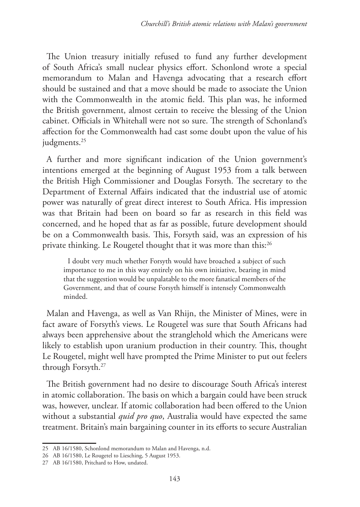The Union treasury initially refused to fund any further development of South Africa's small nuclear physics effort. Schonlond wrote a special memorandum to Malan and Havenga advocating that a research effort should be sustained and that a move should be made to associate the Union with the Commonwealth in the atomic field. This plan was, he informed the British government, almost certain to receive the blessing of the Union cabinet. Officials in Whitehall were not so sure. The strength of Schonland's affection for the Commonwealth had cast some doubt upon the value of his judgments.<sup>25</sup>

A further and more significant indication of the Union government's intentions emerged at the beginning of August 1953 from a talk between the British High Commissioner and Douglas Forsyth. The secretary to the Department of External Affairs indicated that the industrial use of atomic power was naturally of great direct interest to South Africa. His impression was that Britain had been on board so far as research in this field was concerned, and he hoped that as far as possible, future development should be on a Commonwealth basis. This, Forsyth said, was an expression of his private thinking. Le Rougetel thought that it was more than this:<sup>26</sup>

I doubt very much whether Forsyth would have broached a subject of such importance to me in this way entirely on his own initiative, bearing in mind that the suggestion would be unpalatable to the more fanatical members of the Government, and that of course Forsyth himself is intensely Commonwealth minded.

Malan and Havenga, as well as Van Rhijn, the Minister of Mines, were in fact aware of Forsyth's views. Le Rougetel was sure that South Africans had always been apprehensive about the stranglehold which the Americans were likely to establish upon uranium production in their country. This, thought Le Rougetel, might well have prompted the Prime Minister to put out feelers through Forsyth.27

The British government had no desire to discourage South Africa's interest in atomic collaboration. The basis on which a bargain could have been struck was, however, unclear. If atomic collaboration had been offered to the Union without a substantial *quid pro quo*, Australia would have expected the same treatment. Britain's main bargaining counter in its efforts to secure Australian

<sup>25</sup> AB 16/1580, Schonlond memorandum to Malan and Havenga, n.d.

<sup>26</sup> AB 16/1580, Le Rougetel to Liesching, 5 August 1953.

<sup>27</sup> AB 16/1580, Pritchard to How, undated.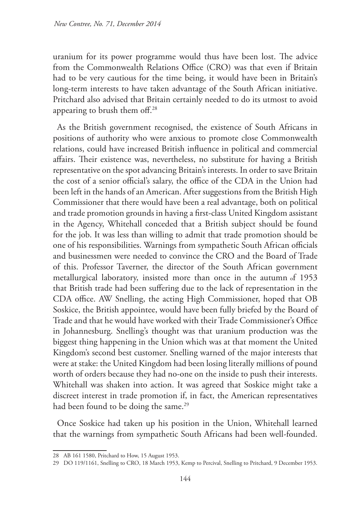uranium for its power programme would thus have been lost. The advice from the Commonwealth Relations Office (CRO) was that even if Britain had to be very cautious for the time being, it would have been in Britain's long-term interests to have taken advantage of the South African initiative. Pritchard also advised that Britain certainly needed to do its utmost to avoid appearing to brush them off.28

As the British government recognised, the existence of South Africans in positions of authority who were anxious to promote close Commonwealth relations, could have increased British influence in political and commercial affairs. Their existence was, nevertheless, no substitute for having a British representative on the spot advancing Britain's interests. In order to save Britain the cost of a senior official's salary, the office of the CDA in the Union had been left in the hands of an American. After suggestions from the British High Commissioner that there would have been a real advantage, both on political and trade promotion grounds in having a first-class United Kingdom assistant in the Agency, Whitehall conceded that a British subject should be found for the job. It was less than willing to admit that trade promotion should be one of his responsibilities. Warnings from sympathetic South African officials and businessmen were needed to convince the CRO and the Board of Trade of this. Professor Taverner, the director of the South African government metallurgical laboratory, insisted more than once in the autumn of 1953 that British trade had been suffering due to the lack of representation in the CDA office. AW Snelling, the acting High Commissioner, hoped that OB Soskice, the British appointee, would have been fully briefed by the Board of Trade and that he would have worked with their Trade Commissioner's Office in Johannesburg. Snelling's thought was that uranium production was the biggest thing happening in the Union which was at that moment the United Kingdom's second best customer. Snelling warned of the major interests that were at stake: the United Kingdom had been losing literally millions of pound worth of orders because they had no-one on the inside to push their interests. Whitehall was shaken into action. It was agreed that Soskice might take a discreet interest in trade promotion if, in fact, the American representatives had been found to be doing the same.<sup>29</sup>

Once Soskice had taken up his position in the Union, Whitehall learned that the warnings from sympathetic South Africans had been well-founded.

<sup>28</sup> AB 161 1580, Pritchard to How, 15 August 1953.

<sup>29</sup> DO 119/1161, Snelling to CRO, 18 March 1953, Kemp to Percival, Snelling to Pritchard, 9 December 1953.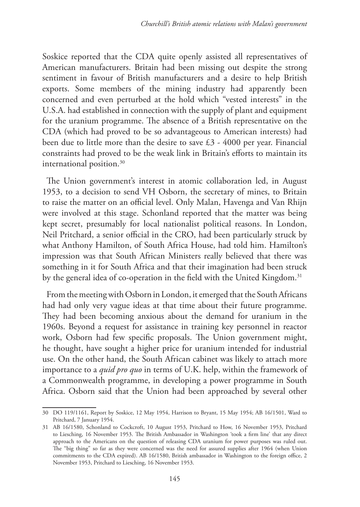Soskice reported that the CDA quite openly assisted all representatives of American manufacturers. Britain had been missing out despite the strong sentiment in favour of British manufacturers and a desire to help British exports. Some members of the mining industry had apparently been concerned and even perturbed at the hold which "vested interests" in the U.S.A. had established in connection with the supply of plant and equipment for the uranium programme. The absence of a British representative on the CDA (which had proved to be so advantageous to American interests) had been due to little more than the desire to save £3 - 4000 per year. Financial constraints had proved to be the weak link in Britain's efforts to maintain its international position.30

The Union government's interest in atomic collaboration led, in August 1953, to a decision to send VH Osborn, the secretary of mines, to Britain to raise the matter on an official level. Only Malan, Havenga and Van Rhijn were involved at this stage. Schonland reported that the matter was being kept secret, presumably for local nationalist political reasons. In London, Neil Pritchard, a senior official in the CRO, had been particularly struck by what Anthony Hamilton, of South Africa House, had told him. Hamilton's impression was that South African Ministers really believed that there was something in it for South Africa and that their imagination had been struck by the general idea of co-operation in the field with the United Kingdom.<sup>31</sup>

From the meeting with Osborn in London, it emerged that the South Africans had had only very vague ideas at that time about their future programme. They had been becoming anxious about the demand for uranium in the 1960s. Beyond a request for assistance in training key personnel in reactor work, Osborn had few specific proposals. The Union government might, he thought, have sought a higher price for uranium intended for industrial use. On the other hand, the South African cabinet was likely to attach more importance to a *quid pro quo* in terms of U.K. help, within the framework of a Commonwealth programme, in developing a power programme in South Africa. Osborn said that the Union had been approached by several other

<sup>30</sup> DO 119/1161, Report by Soskice, 12 May 1954, Harrison to Bryant, 15 May 1954; AB 16/1501, Ward to Pritchard, 7 January 1954.

<sup>31</sup> AB 16/1580, Schonland to Cockcroft, 10 August 1953, Pritchard to How, 16 November 1953, Pritchard to Liesching, 16 November 1953. The British Ambassador in Washington 'took a firm line' that any direct approach to the Americans on the question of releasing CDA uranium for power purposes was ruled out. The "big thing" so far as they were concerned was the need for assured supplies after 1964 (when Union commitments to the CDA expired). AB 16/1580, British ambassador in Washington to the foreign office, 2 November 1953, Pritchard to Liesching, 16 November 1953.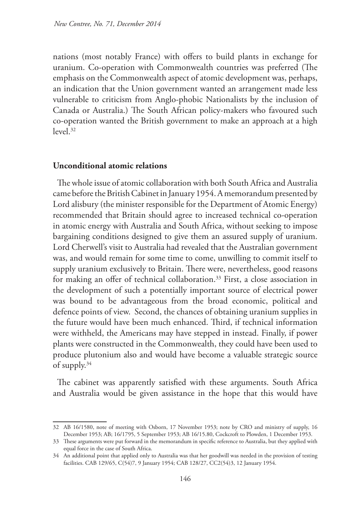nations (most notably France) with offers to build plants in exchange for uranium. Co-operation with Commonwealth countries was preferred (The emphasis on the Commonwealth aspect of atomic development was, perhaps, an indication that the Union government wanted an arrangement made less vulnerable to criticism from Anglo-phobic Nationalists by the inclusion of Canada or Australia.) The South African policy-makers who favoured such co-operation wanted the British government to make an approach at a high  $level.32$ 

## **Unconditional atomic relations**

The whole issue of atomic collaboration with both South Africa and Australia came before the British Cabinet in January 1954. A memorandum presented by Lord alisbury (the minister responsible for the Department of Atomic Energy) recommended that Britain should agree to increased technical co-operation in atomic energy with Australia and South Africa, without seeking to impose bargaining conditions designed to give them an assured supply of uranium. Lord Cherwell's visit to Australia had revealed that the Australian government was, and would remain for some time to come, unwilling to commit itself to supply uranium exclusively to Britain. There were, nevertheless, good reasons for making an offer of technical collaboration.<sup>33</sup> First, a close association in the development of such a potentially important source of electrical power was bound to be advantageous from the broad economic, political and defence points of view. Second, the chances of obtaining uranium supplies in the future would have been much enhanced. Third, if technical information were withheld, the Americans may have stepped in instead. Finally, if power plants were constructed in the Commonwealth, they could have been used to produce plutonium also and would have become a valuable strategic source of supply.34

The cabinet was apparently satisfied with these arguments. South Africa and Australia would be given assistance in the hope that this would have

<sup>32</sup> AB 16/1580, note of meeting with Osborn, 17 November 1953; note by CRO and ministry of supply, 16 December 1953; AB; 16/1795, 5 September 1953; AB 16/15.80, Cockcroft to Plowden, 1 December 1953.

<sup>33</sup> These arguments were put forward in the memorandum in specific reference to Australia, but they applied with equal force in the case of South Africa.

<sup>34</sup> An additional point that applied only to Australia was that her goodwill was needed in the provision of testing facilities. CAB 129/65, C(54)7, 9 January 1954; CAB 128/27, CC2(54)3, 12 January 1954.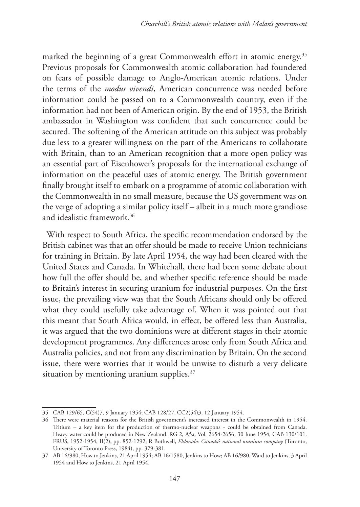marked the beginning of a great Commonwealth effort in atomic energy.<sup>35</sup> Previous proposals for Commonwealth atomic collaboration had foundered on fears of possible damage to Anglo-American atomic relations. Under the terms of the *modus vivendi*, American concurrence was needed before information could be passed on to a Commonwealth country, even if the information had not been of American origin. By the end of 1953, the British ambassador in Washington was confident that such concurrence could be secured. The softening of the American attitude on this subject was probably due less to a greater willingness on the part of the Americans to collaborate with Britain, than to an American recognition that a more open policy was an essential part of Eisenhower's proposals for the international exchange of information on the peaceful uses of atomic energy. The British government finally brought itself to embark on a programme of atomic collaboration with the Commonwealth in no small measure, because the US government was on the verge of adopting a similar policy itself – albeit in a much more grandiose and idealistic framework.36

With respect to South Africa, the specific recommendation endorsed by the British cabinet was that an offer should be made to receive Union technicians for training in Britain. By late April 1954, the way had been cleared with the United States and Canada. In Whitehall, there had been some debate about how full the offer should be, and whether specific reference should be made to Britain's interest in securing uranium for industrial purposes. On the first issue, the prevailing view was that the South Africans should only be offered what they could usefully take advantage of. When it was pointed out that this meant that South Africa would, in effect, be offered less than Australia, it was argued that the two dominions were at different stages in their atomic development programmes. Any differences arose only from South Africa and Australia policies, and not from any discrimination by Britain. On the second issue, there were worries that it would be unwise to disturb a very delicate situation by mentioning uranium supplies.<sup>37</sup>

<sup>35</sup> CAB 129/65, C(54)7, 9 January 1954; CAB 128/27, CC2(54)3, 12 January 1954.

<sup>36</sup> There were material reasons for the British government's increased interest in the Commonwealth in 1954. Tritium – a key item for the production of thermo-nuclear weapons - could be obtained from Canada. Heavy water could be produced in New Zealand. RG 2, A5a, Vol. 2654-2656, 30 June 1954; CAB 130/101. FRUS, 1952-1954, II(2), pp. 852-1292; R Bothwell, *Eldorado: Canada's national uranium company* (Toronto, University of Toronto Press, 1984), pp. 379-381.

<sup>37</sup> AB 16/980, How to Jenkins, 21 April 1954; AB 16/1580, Jenkins to How; AB 16/980, Ward to Jenkins, 3 April 1954 and How to Jenkins, 21 April 1954.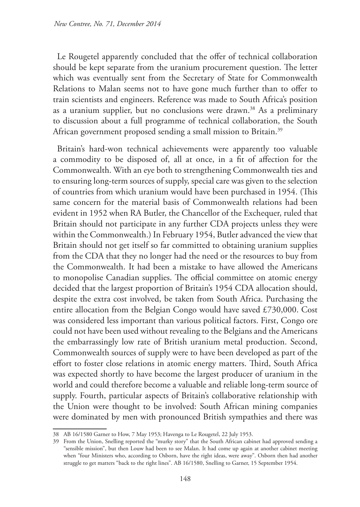Le Rougetel apparently concluded that the offer of technical collaboration should be kept separate from the uranium procurement question. The letter which was eventually sent from the Secretary of State for Commonwealth Relations to Malan seems not to have gone much further than to offer to train scientists and engineers. Reference was made to South Africa's position as a uranium supplier, but no conclusions were drawn.<sup>38</sup> As a preliminary to discussion about a full programme of technical collaboration, the South African government proposed sending a small mission to Britain.<sup>39</sup>

Britain's hard-won technical achievements were apparently too valuable a commodity to be disposed of, all at once, in a fit of affection for the Commonwealth. With an eye both to strengthening Commonwealth ties and to ensuring long-term sources of supply, special care was given to the selection of countries from which uranium would have been purchased in 1954. (This same concern for the material basis of Commonwealth relations had been evident in 1952 when RA Butler, the Chancellor of the Exchequer, ruled that Britain should not participate in any further CDA projects unless they were within the Commonwealth.) In February 1954, Butler advanced the view that Britain should not get itself so far committed to obtaining uranium supplies from the CDA that they no longer had the need or the resources to buy from the Commonwealth. It had been a mistake to have allowed the Americans to monopolise Canadian supplies. The official committee on atomic energy decided that the largest proportion of Britain's 1954 CDA allocation should, despite the extra cost involved, be taken from South Africa. Purchasing the entire allocation from the Belgian Congo would have saved £730,000. Cost was considered less important than various political factors. First, Congo ore could not have been used without revealing to the Belgians and the Americans the embarrassingly low rate of British uranium metal production. Second, Commonwealth sources of supply were to have been developed as part of the effort to foster close relations in atomic energy matters. Third, South Africa was expected shortly to have become the largest producer of uranium in the world and could therefore become a valuable and reliable long-term source of supply. Fourth, particular aspects of Britain's collaborative relationship with the Union were thought to be involved: South African mining companies were dominated by men with pronounced British sympathies and there was

<sup>38</sup> AB 16/1580 Garner to How, 7 May 1953; Havenga to Le Rougetel, 22 July 1953.

<sup>39</sup> From the Union, Snelling reported the "murky story" that the South African cabinet had approved sending a "sensible mission", but then Louw had been to see Malan. It had come up again at another cabinet meeting when "four Ministers who, according to Osborn, have the right ideas, were away". Osborn then had another struggle to get matters "back to the right lines". AB 16/1580, Snelling to Garner, 15 September 1954.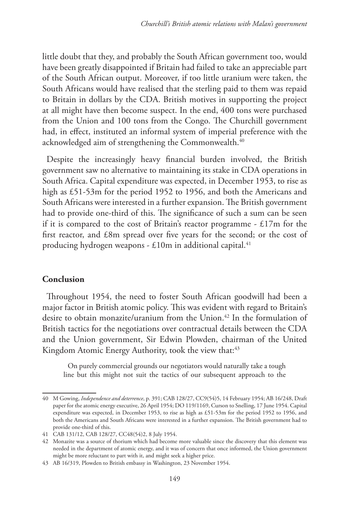little doubt that they, and probably the South African government too, would have been greatly disappointed if Britain had failed to take an appreciable part of the South African output. Moreover, if too little uranium were taken, the South Africans would have realised that the sterling paid to them was repaid to Britain in dollars by the CDA. British motives in supporting the project at all might have then become suspect. In the end, 400 tons were purchased from the Union and 100 tons from the Congo. The Churchill government had, in effect, instituted an informal system of imperial preference with the acknowledged aim of strengthening the Commonwealth.<sup>40</sup>

Despite the increasingly heavy financial burden involved, the British government saw no alternative to maintaining its stake in CDA operations in South Africa. Capital expenditure was expected, in December 1953, to rise as high as £51-53m for the period 1952 to 1956, and both the Americans and South Africans were interested in a further expansion. The British government had to provide one-third of this. The significance of such a sum can be seen if it is compared to the cost of Britain's reactor programme - £17m for the first reactor, and £8m spread over five years for the second; or the cost of producing hydrogen weapons -  $£10m$  in additional capital.<sup>41</sup>

#### **Conclusion**

Throughout 1954, the need to foster South African goodwill had been a major factor in British atomic policy. This was evident with regard to Britain's desire to obtain monazite/uranium from the Union.<sup>42</sup> In the formulation of British tactics for the negotiations over contractual details between the CDA and the Union government, Sir Edwin Plowden, chairman of the United Kingdom Atomic Energy Authority, took the view that:<sup>43</sup>

On purely commercial grounds our negotiators would naturally take a tough line but this might not suit the tactics of our subsequent approach to the

<sup>40</sup> M Gowing, *Independence and deterrence*, p. 391; CAB 128/27, CC9(54)5, 14 February 1954; AB 16/248, Draft paper for the atomic energy executive, 26 April 1954; DO 119/1169, Curson to Snelling, 17 June 1954. Capital expenditure was expected, in December 1953, to rise as high as £51-53m for the period 1952 to 1956, and both the Americans and South Africans were interested in a further expansion. The British government had to provide one-third of this.

<sup>41</sup> CAB 131/12, CAB 128/27, CC48(54)2, 8 July 1954.

<sup>42</sup> Monazite was a source of thorium which had become more valuable since the discovery that this element was needed in the department of atomic energy, and it was of concern that once informed, the Union government might be more reluctant to part with it, and might seek a higher price.

<sup>43</sup> AB 16/319, Plowden to British embassy in Washington, 23 November 1954.